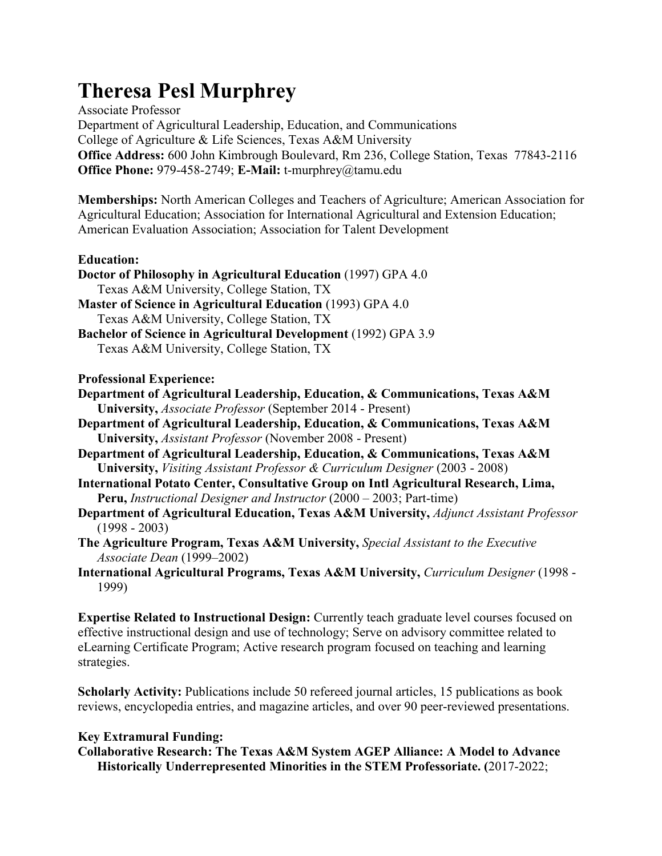# **Theresa Pesl Murphrey**

Associate Professor Department of Agricultural Leadership, Education, and Communications College of Agriculture & Life Sciences, Texas A&M University **Office Address:** 600 John Kimbrough Boulevard, Rm 236, College Station, Texas 77843-2116 **Office Phone:** 979-458-2749; **E-Mail:** t-murphrey@tamu.edu

**Memberships:** North American Colleges and Teachers of Agriculture; American Association for Agricultural Education; Association for International Agricultural and Extension Education; American Evaluation Association; Association for Talent Development

## **Education:**

**Doctor of Philosophy in Agricultural Education** (1997) GPA 4.0 Texas A&M University, College Station, TX **Master of Science in Agricultural Education** (1993) GPA 4.0 Texas A&M University, College Station, TX **Bachelor of Science in Agricultural Development** (1992) GPA 3.9 Texas A&M University, College Station, TX

#### **Professional Experience:**

**Department of Agricultural Leadership, Education, & Communications, Texas A&M University,** *Associate Professor* (September 2014 - Present)

**Department of Agricultural Leadership, Education, & Communications, Texas A&M University,** *Assistant Professor* (November 2008 - Present)

- **Department of Agricultural Leadership, Education, & Communications, Texas A&M University,** *Visiting Assistant Professor & Curriculum Designer* (2003 - 2008)
- **International Potato Center, Consultative Group on Intl Agricultural Research, Lima, Peru,** *Instructional Designer and Instructor* (2000 – 2003; Part-time)
- **Department of Agricultural Education, Texas A&M University,** *Adjunct Assistant Professor*  (1998 - 2003)
- **The Agriculture Program, Texas A&M University,** *Special Assistant to the Executive Associate Dean* (1999–2002)
- **International Agricultural Programs, Texas A&M University,** *Curriculum Designer* (1998 1999)

**Expertise Related to Instructional Design:** Currently teach graduate level courses focused on effective instructional design and use of technology; Serve on advisory committee related to eLearning Certificate Program; Active research program focused on teaching and learning strategies.

**Scholarly Activity:** Publications include 50 refereed journal articles, 15 publications as book reviews, encyclopedia entries, and magazine articles, and over 90 peer-reviewed presentations.

# **Key Extramural Funding:**

**Collaborative Research: The Texas A&M System AGEP Alliance: A Model to Advance Historically Underrepresented Minorities in the STEM Professoriate. (**2017-2022;